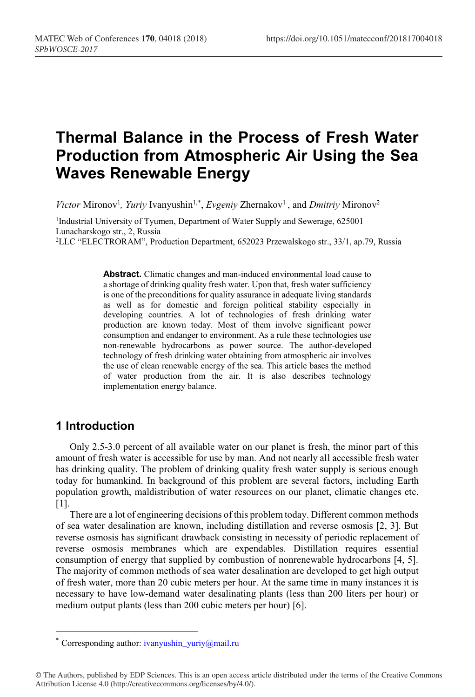# **Thermal Balance in the Process of Fresh Water Production from Atmospheric Air Using the Sea Waves Renewable Energy**

*Victor* Mironov<sup>1</sup>, *Yuriy* Ivanyushin<sup>1,\*</sup>, *Evgeniy Zhernakov*<sup>1</sup>, and *Dmitriy* Mironov<sup>2</sup>

<sup>1</sup>Industrial University of Tyumen, Department of Water Supply and Sewerage, 625001 Lunacharskogo str., 2, Russia 2LLC "ELECTRORAM", Production Department, 652023 Przewalskogo str., 33/1, ap.79, Russia

> **Abstract.** Climatic changes and man-induced environmental load cause to a shortage of drinking quality fresh water. Upon that, fresh water sufficiency is one of the preconditions for quality assurance in adequate living standards as well as for domestic and foreign political stability especially in developing countries. A lot of technologies of fresh drinking water production are known today. Most of them involve significant power consumption and endanger to environment. As a rule these technologies use non-renewable hydrocarbons as power source. The author-developed technology of fresh drinking water obtaining from atmospheric air involves the use of clean renewable energy of the sea. This article bases the method of water production from the air. It is also describes technology implementation energy balance.

## **1 Introduction**

Only 2.5-3.0 percent of all available water on our planet is fresh, the minor part of this amount of fresh water is accessible for use by man. And not nearly all accessible fresh water has drinking quality. The problem of drinking quality fresh water supply is serious enough today for humankind. In background of this problem are several factors, including Earth population growth, maldistribution of water resources on our planet, climatic changes etc. [1].

There are a lot of engineering decisions of this problem today. Different common methods of sea water desalination are known, including distillation and reverse osmosis [2, 3]. But reverse osmosis has significant drawback consisting in necessity of periodic replacement of reverse osmosis membranes which are expendables. Distillation requires essential consumption of energy that supplied by combustion of nonrenewable hydrocarbons [4, 5]. The majority of common methods of sea water desalination are developed to get high output of fresh water, more than 20 cubic meters per hour. At the same time in many instances it is necessary to have low-demand water desalinating plants (less than 200 liters per hour) or medium output plants (less than 200 cubic meters per hour) [6].

<sup>\*</sup> Corresponding author: ivanyushin\_yuriy@mail.ru

<sup>©</sup> The Authors, published by EDP Sciences. This is an open access article distributed under the terms of the Creative Commons Attribution License 4.0 (http://creativecommons.org/licenses/by/4.0/).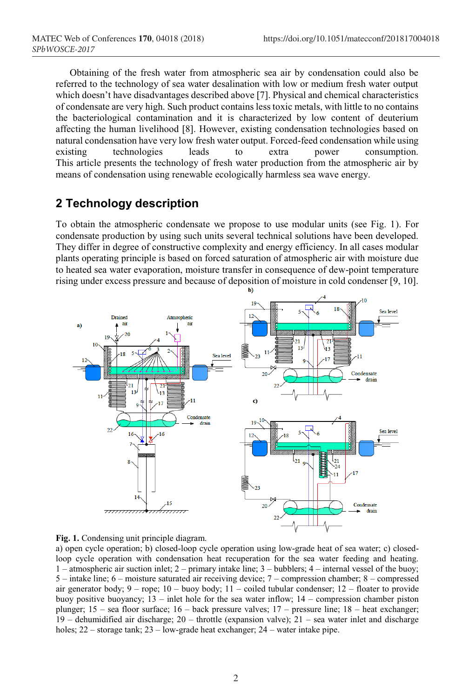Obtaining of the fresh water from atmospheric sea air by condensation could also be referred to the technology of sea water desalination with low or medium fresh water output which doesn't have disadvantages described above [7]. Physical and chemical characteristics of condensate are very high. Such product contains less toxic metals, with little to no contains the bacteriological contamination and it is characterized by low content of deuterium affecting the human livelihood [8]. However, existing condensation technologies based on natural condensation have very low fresh water output. Forced-feed condensation while using existing technologies leads to extra power consumption. This article presents the technology of fresh water production from the atmospheric air by means of condensation using renewable ecologically harmless sea wave energy.

# **2 Technology description**

To obtain the atmospheric condensate we propose to use modular units (see Fig. 1). For condensate production by using such units several technical solutions have been developed. They differ in degree of constructive complexity and energy efficiency. In all cases modular plants operating principle is based on forced saturation of atmospheric air with moisture due to heated sea water evaporation, moisture transfer in consequence of dew-point temperature rising under excess pressure and because of deposition of moisture in cold condenser [9, 10].





а) open cycle operation; b) closed-loop cycle operation using low-grade heat of sea water; с) closedloop cycle operation with condensation heat recuperation for the sea water feeding and heating. 1 – atmospheric air suction inlet; 2 – primary intake line; 3 – bubblers; 4 – internal vessel of the buoy; 5 – intake line; 6 – moisture saturated air receiving device; 7 – compression chamber; 8 – compressed air generator body;  $9 -$ rope;  $10 -$ buoy body;  $11 -$ coiled tubular condenser;  $12 -$ floater to provide buoy positive buoyancy; 13 – inlet hole for the sea water inflow; 14 – compression chamber piston plunger; 15 – sea floor surface; 16 – back pressure valves; 17 – pressure line; 18 – heat exchanger; 19 – dehumidified air discharge; 20 – throttle (expansion valve); 21 – sea water inlet and discharge holes; 22 – storage tank; 23 – low-grade heat exchanger; 24 – water intake pipe.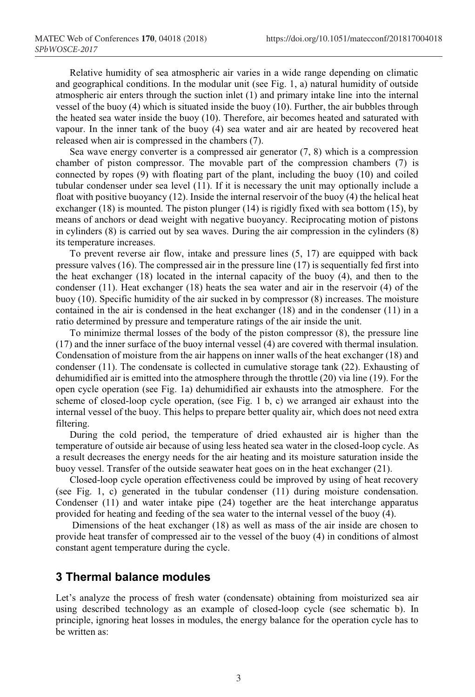Relative humidity of sea atmospheric air varies in a wide range depending on climatic and geographical conditions. In the modular unit (see Fig. 1, a) natural humidity of outside atmospheric air enters through the suction inlet (1) and primary intake line into the internal vessel of the buoy (4) which is situated inside the buoy (10). Further, the air bubbles through the heated sea water inside the buoy (10). Therefore, air becomes heated and saturated with vapour. In the inner tank of the buoy (4) sea water and air are heated by recovered heat released when air is compressed in the chambers (7).

Sea wave energy converter is a compressed air generator (7, 8) which is a compression chamber of piston compressor. The movable part of the compression chambers (7) is connected by ropes (9) with floating part of the plant, including the buoy (10) and coiled tubular condenser under sea level (11). If it is necessary the unit may optionally include a float with positive buoyancy (12). Inside the internal reservoir of the buoy (4) the helical heat exchanger (18) is mounted. The piston plunger (14) is rigidly fixed with sea bottom (15), by means of anchors or dead weight with negative buoyancy. Reciprocating motion of pistons in cylinders (8) is carried out by sea waves. During the air compression in the cylinders (8) its temperature increases.

To prevent reverse air flow, intake and pressure lines (5, 17) are equipped with back pressure valves (16). The compressed air in the pressure line (17) is sequentially fed first into the heat exchanger (18) located in the internal capacity of the buoy (4), and then to the condenser (11). Heat exchanger (18) heats the sea water and air in the reservoir (4) of the buoy (10). Specific humidity of the air sucked in by compressor (8) increases. The moisture contained in the air is condensed in the heat exchanger (18) and in the condenser (11) in a ratio determined by pressure and temperature ratings of the air inside the unit.

To minimize thermal losses of the body of the piston compressor (8), the pressure line (17) and the inner surface of the buoy internal vessel (4) are covered with thermal insulation. Condensation of moisture from the air happens on inner walls of the heat exchanger (18) and condenser (11). The condensate is collected in cumulative storage tank (22). Exhausting of dehumidified air is emitted into the atmosphere through the throttle (20) via line (19). For the open cycle operation (see Fig. 1a) dehumidified air exhausts into the atmosphere. For the scheme of closed-loop cycle operation, (see Fig. 1 b, c) we arranged air exhaust into the internal vessel of the buoy. This helps to prepare better quality air, which does not need extra filtering.

During the cold period, the temperature of dried exhausted air is higher than the temperature of outside air because of using less heated sea water in the closed-loop cycle. As a result decreases the energy needs for the air heating and its moisture saturation inside the buoy vessel. Transfer of the outside seawater heat goes on in the heat exchanger (21).

Closed-loop cycle operation effectiveness could be improved by using of heat recovery (see Fig. 1, c) generated in the tubular condenser (11) during moisture condensation. Condenser (11) and water intake pipe (24) together are the heat interchange apparatus provided for heating and feeding of the sea water to the internal vessel of the buoy (4).

Dimensions of the heat exchanger (18) as well as mass of the air inside are chosen to provide heat transfer of compressed air to the vessel of the buoy (4) in conditions of almost constant agent temperature during the cycle.

#### **3 Thermal balance modules**

Let's analyze the process of fresh water (condensate) obtaining from moisturized sea air using described technology as an example of closed-loop cycle (see schematic b). In principle, ignoring heat losses in modules, the energy balance for the operation cycle has to be written as: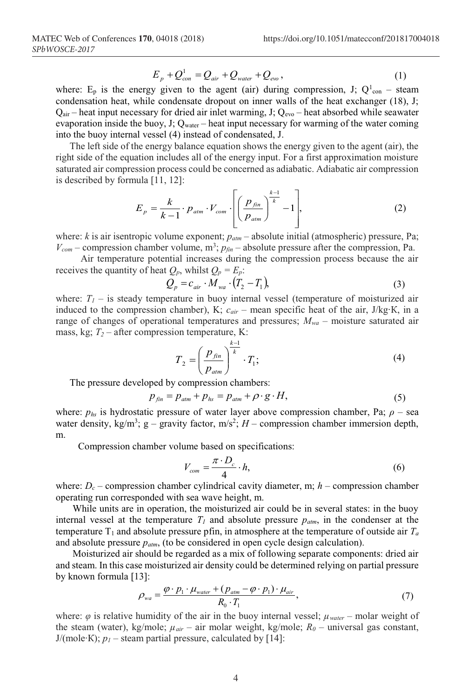$$
E_p + Q_{con}^1 = Q_{air} + Q_{water} + Q_{evo}, \qquad (1)
$$

where:  $E_p$  is the energy given to the agent (air) during compression, J;  $Q_{con}^1$  – steam condensation heat, while condensate dropout on inner walls of the heat exchanger (18), J;  $Q_{\text{air}}$  – heat input necessary for dried air inlet warming, J;  $Q_{\text{evo}}$  – heat absorbed while seawater evaporation inside the buoy, J;  $Q_{\text{water}}$  – heat input necessary for warming of the water coming into the buoy internal vessel (4) instead of condensated, J.

The left side of the energy balance equation shows the energy given to the agent (air), the right side of the equation includes all of the energy input. For a first approximation moisture saturated air compression process could be concerned as adiabatic. Adiabatic air compression is described by formula [11, 12]:

$$
E_p = \frac{k}{k-1} \cdot p_{\text{atm}} \cdot V_{\text{com}} \cdot \left[ \left( \frac{p_{\text{fin}}}{p_{\text{atm}}} \right)^{\frac{k-1}{k}} - 1 \right],\tag{2}
$$

where: *k* is air isentropic volume exponent;  $p_{\text{atm}}$  – absolute initial (atmospheric) pressure, Pa;  $V_{com}$  – compression chamber volume, m<sup>3</sup>;  $p_{fin}$  – absolute pressure after the compression, Pa.

Air temperature potential increases during the compression process because the air receives the quantity of heat  $Q_p$ , whilst  $Q_p = E_p$ .

$$
Q_p = c_{air} \cdot \overline{M}_{wa} \cdot (T_2 - T_1), \tag{3}
$$

where:  $T_I$  – is steady temperature in buoy internal vessel (temperature of moisturized air induced to the compression chamber), K; *сair* – mean specific heat of the air, J/kg∙К, in a range of changes of operational temperatures and pressures;  $M_{wa}$  – moisture saturated air mass, kg;  $T_2$  – after compression temperature, K:

$$
T_2 = \left(\frac{p_{fin}}{p_{atm}}\right)^{\frac{k-1}{k}} \cdot T_1;
$$
\n<sup>(4)</sup>

The pressure developed by compression chambers:

$$
p_{fin} = p_{atm} + p_{hs} = p_{atm} + \rho \cdot g \cdot H,\tag{5}
$$

where:  $p_{hs}$  is hydrostatic pressure of water layer above compression chamber, Pa;  $\rho$  – sea water density,  $kg/m^3$ ;  $g$  – gravity factor,  $m/s^2$ ;  $H$  – compression chamber immersion depth, m.

Compression chamber volume based on specifications:

$$
V_{com} = \frac{\pi \cdot D_c}{4} \cdot h,\tag{6}
$$

where:  $D_c$  – compression chamber cylindrical cavity diameter, m;  $h$  – compression chamber operating run corresponded with sea wave height, m.

While units are in operation, the moisturized air could be in several states: in the buoy internal vessel at the temperature  $T_1$  and absolute pressure  $p_{atm}$ , in the condenser at the temperature  $T_1$  and absolute pressure pfin, in atmosphere at the temperature of outside air  $T_a$ and absolute pressure *patm*, (to be considered in open cycle design calculation).

Moisturized air should be regarded as a mix of following separate components: dried air and steam. In this case moisturized air density could be determined relying on partial pressure by known formula [13]:

$$
\rho_{wa} = \frac{\varphi \cdot p_1 \cdot \mu_{water} + (p_{atm} - \varphi \cdot p_1) \cdot \mu_{air}}{R_0 \cdot T_1},\tag{7}
$$

where: *φ* is relative humidity of the air in the buoy internal vessel; *µwater* – molar weight of the steam (water), kg/mole; *µair* – air molar weight, kg/mole; *R0* – universal gas constant, J/(mole∙К); *р<sup>1</sup>* – steam partial pressure, calculated by [14]: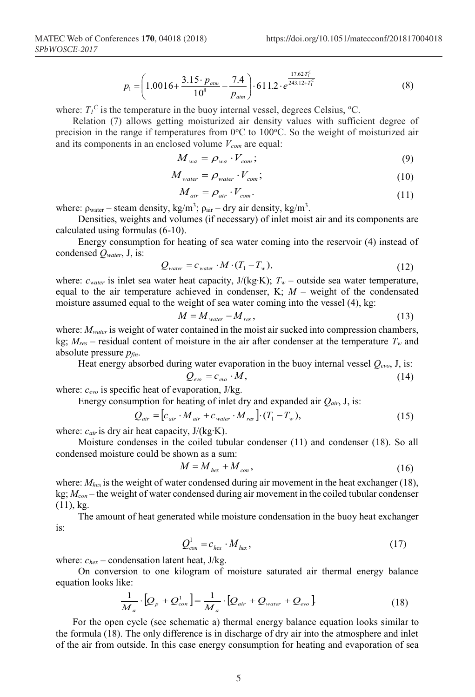$$
p_1 = \left(1.0016 + \frac{3.15 \cdot p_{\text{atm}}}{10^8} - \frac{7.4}{p_{\text{atm}}}\right) \cdot 611.2 \cdot e^{\frac{17.62 T_1^C}{243.12 + T_1^C}} \tag{8}
$$

where:  $T_l^C$  is the temperature in the buoy internal vessel, degrees Celsius,  $\rm ^oC$ .

Relation (7) allows getting moisturized air density values with sufficient degree of precision in the range if temperatures from  $0^{\circ}$ C to 100 $^{\circ}$ C. So the weight of moisturized air and its components in an enclosed volume  $V_{com}$  are equal:

$$
M_{wa} = \rho_{wa} \cdot V_{com};\tag{9}
$$

$$
M_{\text{water}} = \rho_{\text{water}} \cdot V_{\text{com}}; \tag{10}
$$

$$
M_{\text{air}} = \rho_{\text{air}} \cdot V_{\text{com}}.\tag{11}
$$

where:  $\rho_{\text{water}}$  – steam density, kg/m<sup>3</sup>;  $\rho_{\text{air}}$  – dry air density, kg/m<sup>3</sup>.

Densities, weights and volumes (if necessary) of inlet moist air and its components are calculated using formulas (6-10).

Energy consumption for heating of sea water coming into the reservoir (4) instead of condensed *Qwater*, J, is:

$$
Q_{\text{water}} = c_{\text{water}} \cdot M \cdot (T_1 - T_w), \tag{12}
$$

where: *сwater* is inlet sea water heat capacity, J/(kg∙K); *Tw* – outside sea water temperature, equal to the air temperature achieved in condenser,  $K$ ;  $M$  – weight of the condensated moisture assumed equal to the weight of sea water coming into the vessel (4), kg:

$$
M = M_{\text{water}} - M_{\text{res}}\,,\tag{13}
$$

where:  $M_{water}$  is weight of water contained in the moist air sucked into compression chambers, kg;  $M_{res}$  – residual content of moisture in the air after condenser at the temperature  $T_w$  and absolute pressure *рfin*.

Heat energy absorbed during water evaporation in the buoy internal vessel *Qevo*, J, is:  $Q_{\text{ev}} = c_{\text{ev}} \cdot M,$  (14)

where: *сevo* is specific heat of evaporation, J/kg.

Energy consumption for heating of inlet dry and expanded air *Qair*, J, is:

$$
Q_{air} = [c_{air} \cdot M_{air} + c_{water} \cdot M_{res}] \cdot (T_1 - T_w),
$$
\n(15)

where: *сair* is dry air heat capacity, J/(kg∙K).

Moisture condenses in the coiled tubular condenser (11) and condenser (18). So all condensed moisture could be shown as a sum:

$$
M = M_{hex} + M_{con},\tag{16}
$$

where:  $M_{hex}$  is the weight of water condensed during air movement in the heat exchanger (18), kg; *Мcon* – the weight of water condensed during air movement in the coiled tubular condenser (11), kg.

The amount of heat generated while moisture condensation in the buoy heat exchanger is:

$$
Q_{con}^1 = c_{hex} \cdot M_{hex},\tag{17}
$$

where:  $c_{hex}$  – condensation latent heat, J/kg.

On conversion to one kilogram of moisture saturated air thermal energy balance equation looks like:

$$
\frac{1}{M_a} \cdot [Q_p + Q_{con}^1] = \frac{1}{M_a} \cdot [Q_{air} + Q_{water} + Q_{evo}].
$$
\n(18)

For the open cycle (see schematic a) thermal energy balance equation looks similar to the formula (18). The only difference is in discharge of dry air into the atmosphere and inlet of the air from outside. In this case energy consumption for heating and evaporation of sea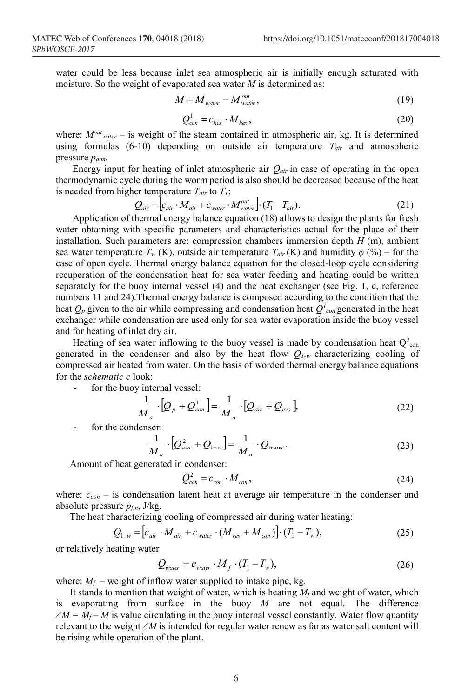water could be less because inlet sea atmospheric air is initially enough saturated with moisture. So the weight of evaporated sea water *M* is determined as:

$$
M = M_{\text{water}} - M_{\text{water}}^{\text{out}},\tag{19}
$$

$$
Q_{con}^1 = c_{hex} \cdot M_{hex},\tag{20}
$$

where:  $M<sup>out</sup>_{water}$  – is weight of the steam contained in atmospheric air, kg. It is determined using formulas (6-10) depending on outside air temperature *Tair* and atmospheric pressure *patm.*

Energy input for heating of inlet atmospheric air  $Q_{air}$  in case of operating in the open thermodynamic cycle during the worm period is also should be decreased because of the heat is needed from higher temperature  $T_{air}$  to  $T_1$ :

$$
Q_{air} = \left[c_{air} \cdot M_{air} + c_{water} \cdot M_{water}^{out}\right] \cdot (T_1 - T_{ait}).
$$
\n(21)

Application of thermal energy balance equation (18) allows to design the plants for fresh water obtaining with specific parameters and characteristics actual for the place of their installation. Such parameters are: compression chambers immersion depth *H* (m), ambient sea water temperature  $T_w$  (K), outside air temperature  $T_{air}$  (K) and humidity  $\varphi$  (%) – for the case of open cycle. Thermal energy balance equation for the closed-loop cycle considering recuperation of the condensation heat for sea water feeding and heating could be written separately for the buoy internal vessel (4) and the heat exchanger (see Fig. 1, c, reference numbers 11 and 24).Thermal energy balance is composed according to the condition that the heat  $Q_p$  given to the air while compressing and condensation heat  $Q^l_{con}$  generated in the heat exchanger while condensation are used only for sea water evaporation inside the buoy vessel and for heating of inlet dry air.

Heating of sea water inflowing to the buoy vessel is made by condensation heat  $Q^2$ <sub>con</sub> generated in the condenser and also by the heat flow *Q1-w* characterizing cooling of compressed air heated from water. On the basis of worded thermal energy balance equations for the *schematic c* look:

for the buoy internal vessel:

$$
\frac{1}{M_a} \cdot [Q_p + Q_{con}^1] = \frac{1}{M_a} \cdot [Q_{air} + Q_{evo}],
$$
\n(22)

for the condenser:

$$
\frac{1}{M_a} \cdot \left[ Q_{con}^2 + Q_{1-w} \right] = \frac{1}{M_a} \cdot Q_{water}.
$$
\n(23)

Amount of heat generated in condenser:

$$
Q_{con}^2 = c_{con} \cdot M_{con},\tag{24}
$$

where:  $c_{con}$  – is condensation latent heat at average air temperature in the condenser and absolute pressure *pfin*, J/kg.

The heat characterizing cooling of compressed air during water heating:

$$
Q_{1-w} = [c_{air} \cdot M_{air} + c_{water} \cdot (M_{res} + M_{con})] \cdot (T_1 - T_w),
$$
 (25)

or relatively heating water

$$
Q_{\text{water}} = c_{\text{water}} \cdot M_f \cdot (T_1 - T_w), \tag{26}
$$

where:  $M_f$  – weight of inflow water supplied to intake pipe, kg.

It stands to mention that weight of water, which is heating  $M_f$  and weight of water, which is evaporating from surface in the buoy *M* are not equal. The difference  $\Delta M = M_f - M$  is value circulating in the buoy internal vessel constantly. Water flow quantity relevant to the weight *ΔМ* is intended for regular water renew as far as water salt content will be rising while operation of the plant.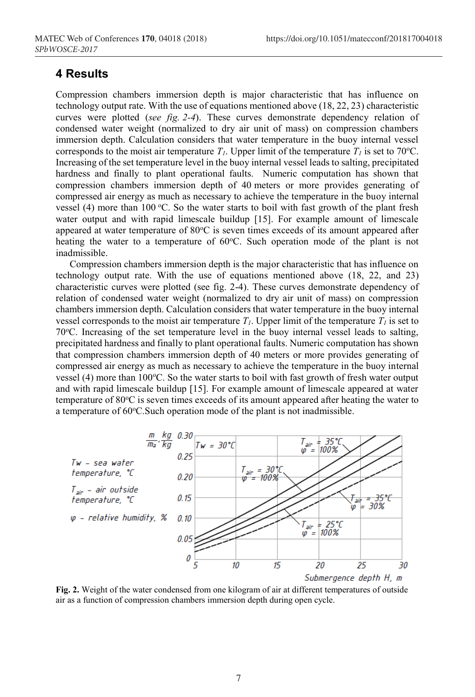#### **4 Results**

Compression chambers immersion depth is major characteristic that has influence on technology output rate. With the use of equations mentioned above (18, 22, 23) characteristic curves were plotted (*see fig. 2-4*). These curves demonstrate dependency relation of condensed water weight (normalized to dry air unit of mass) on compression chambers immersion depth. Calculation considers that water temperature in the buoy internal vessel corresponds to the moist air temperature  $T_l$ . Upper limit of the temperature  $T_l$  is set to 70 °C. Increasing of the set temperature level in the buoy internal vessel leads to salting, precipitated hardness and finally to plant operational faults. Numeric computation has shown that compression chambers immersion depth of 40 meters or more provides generating of compressed air energy as much as necessary to achieve the temperature in the buoy internal vessel (4) more than 100 °C. So the water starts to boil with fast growth of the plant fresh water output and with rapid limescale buildup [15]. For example amount of limescale appeared at water temperature of 80°C is seven times exceeds of its amount appeared after heating the water to a temperature of 60°C. Such operation mode of the plant is not inadmissible.

Compression chambers immersion depth is the major characteristic that has influence on technology output rate. With the use of equations mentioned above (18, 22, and 23) characteristic curves were plotted (see fig. 2-4). These curves demonstrate dependency of relation of condensed water weight (normalized to dry air unit of mass) on compression chambers immersion depth. Calculation considers that water temperature in the buoy internal vessel corresponds to the moist air temperature  $T_I$ . Upper limit of the temperature  $T_I$  is set to 70<sup>о</sup> С. Increasing of the set temperature level in the buoy internal vessel leads to salting, precipitated hardness and finally to plant operational faults. Numeric computation has shown that compression chambers immersion depth of 40 meters or more provides generating of compressed air energy as much as necessary to achieve the temperature in the buoy internal vessel (4) more than 100°C. So the water starts to boil with fast growth of fresh water output and with rapid limescale buildup [15]. For example amount of limescale appeared at water temperature of 80°C is seven times exceeds of its amount appeared after heating the water to a temperature of 60°C. Such operation mode of the plant is not inadmissible.



**Fig. 2.** Weight of the water condensed from one kilogram of air at different temperatures of outside air as a function of compression chambers immersion depth during open cycle.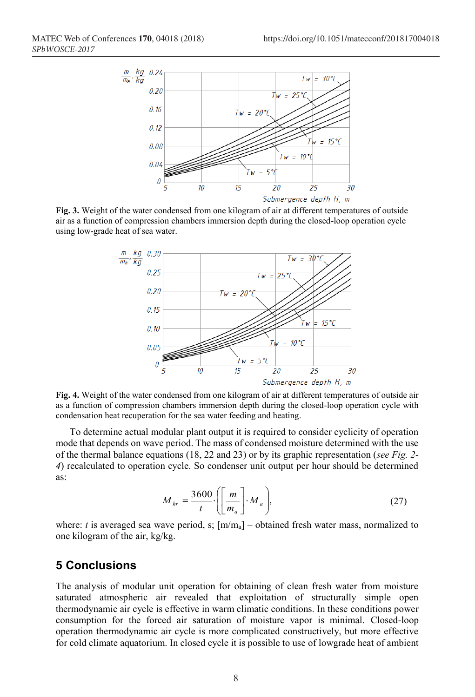

**Fig. 3.** Weight of the water condensed from one kilogram of air at different temperatures of outside air as a function of compression chambers immersion depth during the closed-loop operation cycle using low-grade heat of sea water.



**Fig. 4.** Weight of the water condensed from one kilogram of air at different temperatures of outside air as a function of compression chambers immersion depth during the closed-loop operation cycle with condensation heat recuperation for the sea water feeding and heating.

To determine actual modular plant output it is required to consider cyclicity of operation mode that depends on wave period. The mass of condensed moisture determined with the use of the thermal balance equations (18, 22 and 23) or by its graphic representation (*see Fig. 2- 4*) recalculated to operation cycle. So condenser unit output per hour should be determined as:

$$
M_{hr} = \frac{3600}{t} \cdot \left( \left[ \frac{m}{m_a} \right] \cdot M_a \right),\tag{27}
$$

where: *t* is averaged sea wave period, s;  $[m/m_a]$  – obtained fresh water mass, normalized to one kilogram of the air, kg/kg.

#### **5 Conclusions**

The analysis of modular unit operation for obtaining of clean fresh water from moisture saturated atmospheric air revealed that exploitation of structurally simple open thermodynamic air cycle is effective in warm climatic conditions. In these conditions power consumption for the forced air saturation of moisture vapor is minimal. Closed-loop operation thermodynamic air cycle is more complicated constructively, but more effective for cold climate aquatorium. In closed cycle it is possible to use of lowgrade heat of ambient